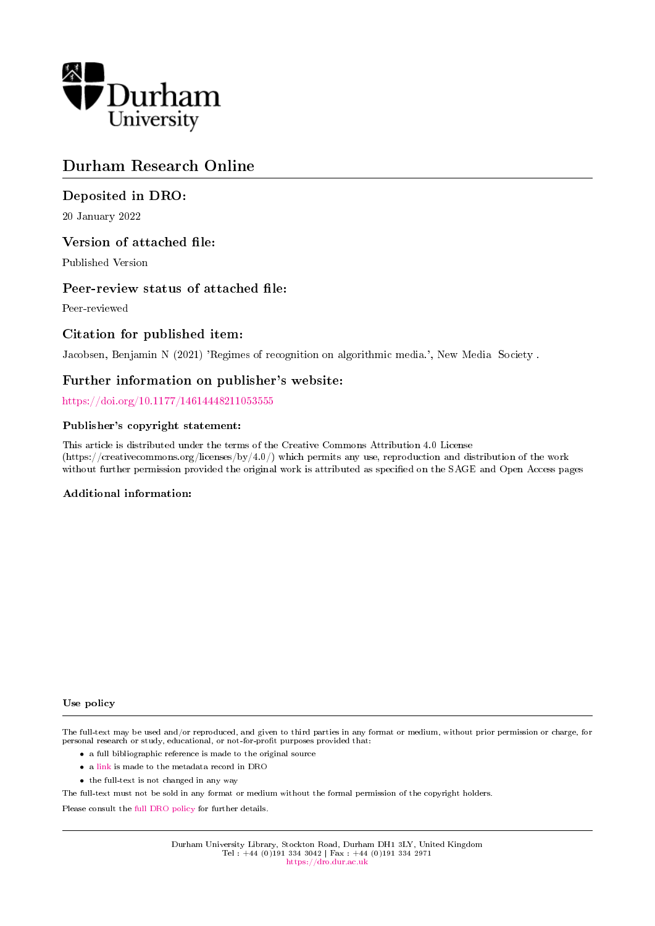

# Durham Research Online

# Deposited in DRO:

20 January 2022

# Version of attached file:

Published Version

# Peer-review status of attached file:

Peer-reviewed

# Citation for published item:

Jacobsen, Benjamin N (2021) 'Regimes of recognition on algorithmic media.', New Media Society .

# Further information on publisher's website:

<https://doi.org/10.1177/14614448211053555>

## Publisher's copyright statement:

This article is distributed under the terms of the Creative Commons Attribution 4.0 License (https://creativecommons.org/licenses/by/4.0/) which permits any use, reproduction and distribution of the work without further permission provided the original work is attributed as specified on the SAGE and Open Access pages

## Additional information:

#### Use policy

The full-text may be used and/or reproduced, and given to third parties in any format or medium, without prior permission or charge, for personal research or study, educational, or not-for-profit purposes provided that:

- a full bibliographic reference is made to the original source
- a [link](http://dro.dur.ac.uk/35144/) is made to the metadata record in DRO
- the full-text is not changed in any way

The full-text must not be sold in any format or medium without the formal permission of the copyright holders.

Please consult the [full DRO policy](https://dro.dur.ac.uk/policies/usepolicy.pdf) for further details.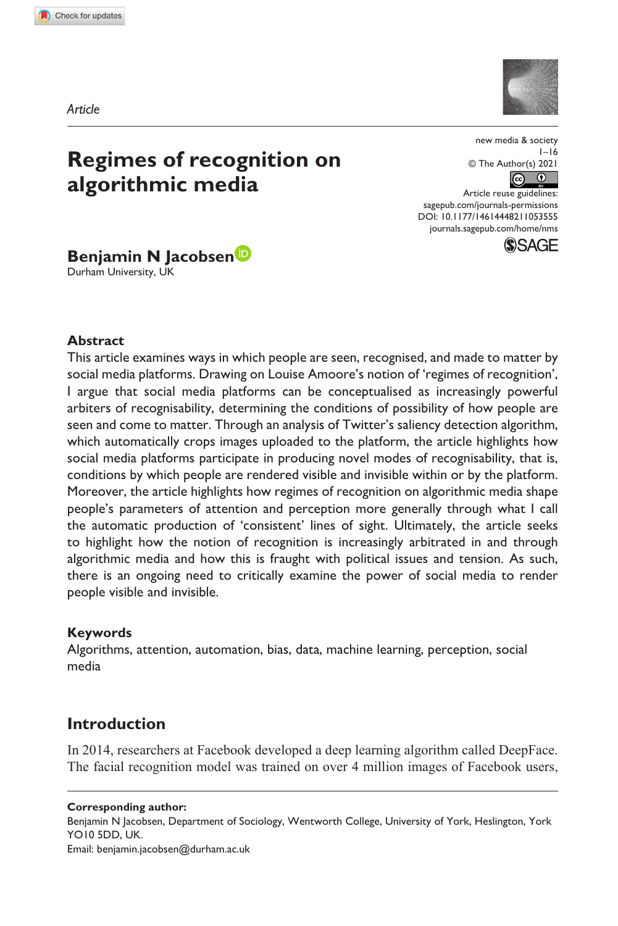**1053[555](http://crossmark.crossref.org/dialog/?doi=10.1177%2F14614448211053555&domain=pdf&date_stamp=2021-10-26)** NMS0010.1177/14614448211053555new media & society**Jacobsen**

*Article*



# **Regimes of recognition on algorithmic media**

new media & society  $1 - 16$ © The Author(s) 2021  $\circledcirc$ 

DOI: 10.1177/14614448211053555 Article reuse guidelines: [sagepub.com/journals-permissions](https://uk.sagepub.com/en-gb/journals-permissions) [journals.sagepub.com/home/nms](https://journals.sagepub.com/home/nms)



**Benjamin N Jacobsen**

Durham University, UK

#### **Abstract**

This article examines ways in which people are seen, recognised, and made to matter by social media platforms. Drawing on Louise Amoore's notion of 'regimes of recognition', I argue that social media platforms can be conceptualised as increasingly powerful arbiters of recognisability, determining the conditions of possibility of how people are seen and come to matter. Through an analysis of Twitter's saliency detection algorithm, which automatically crops images uploaded to the platform, the article highlights how social media platforms participate in producing novel modes of recognisability, that is, conditions by which people are rendered visible and invisible within or by the platform. Moreover, the article highlights how regimes of recognition on algorithmic media shape people's parameters of attention and perception more generally through what I call the automatic production of 'consistent' lines of sight. Ultimately, the article seeks to highlight how the notion of recognition is increasingly arbitrated in and through algorithmic media and how this is fraught with political issues and tension. As such, there is an ongoing need to critically examine the power of social media to render people visible and invisible.

### **Keywords**

Algorithms, attention, automation, bias, data, machine learning, perception, social media

# **Introduction**

In 2014, researchers at Facebook developed a deep learning algorithm called DeepFace. The facial recognition model was trained on over 4 million images of Facebook users,

**Corresponding author:**

Benjamin N Jacobsen, Department of Sociology, Wentworth College, University of York, Heslington, York YO10 5DD, UK. Email: [benjamin.jacobsen@durham.ac.uk](mailto:benjamin.jacobsen@durham.ac.uk)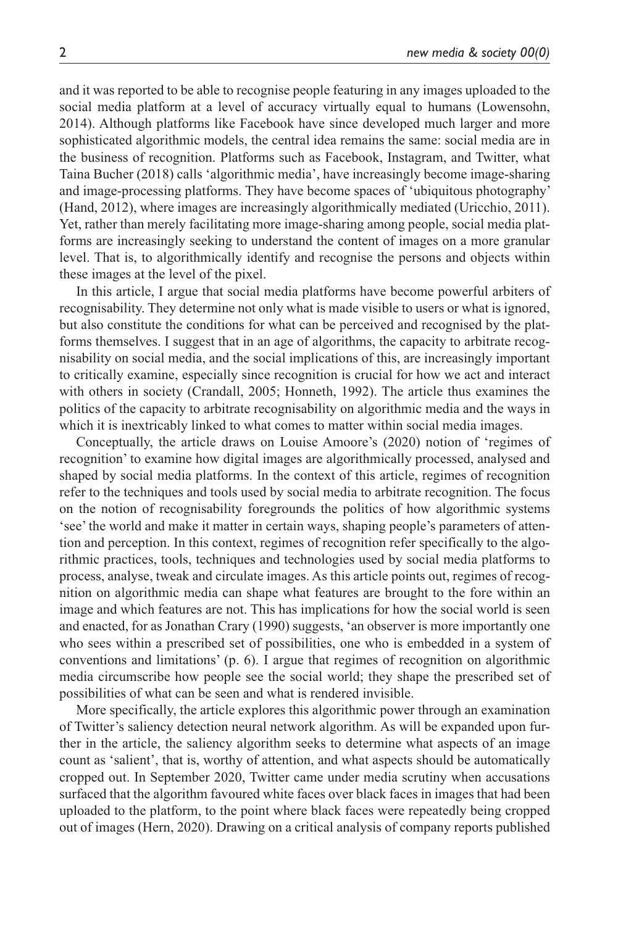and it was reported to be able to recognise people featuring in any images uploaded to the social media platform at a level of accuracy virtually equal to humans (Lowensohn, 2014). Although platforms like Facebook have since developed much larger and more sophisticated algorithmic models, the central idea remains the same: social media are in the business of recognition. Platforms such as Facebook, Instagram, and Twitter, what Taina Bucher (2018) calls 'algorithmic media', have increasingly become image-sharing and image-processing platforms. They have become spaces of 'ubiquitous photography' (Hand, 2012), where images are increasingly algorithmically mediated (Uricchio, 2011). Yet, rather than merely facilitating more image-sharing among people, social media platforms are increasingly seeking to understand the content of images on a more granular level. That is, to algorithmically identify and recognise the persons and objects within these images at the level of the pixel.

In this article, I argue that social media platforms have become powerful arbiters of recognisability. They determine not only what is made visible to users or what is ignored, but also constitute the conditions for what can be perceived and recognised by the platforms themselves. I suggest that in an age of algorithms, the capacity to arbitrate recognisability on social media, and the social implications of this, are increasingly important to critically examine, especially since recognition is crucial for how we act and interact with others in society (Crandall, 2005; Honneth, 1992). The article thus examines the politics of the capacity to arbitrate recognisability on algorithmic media and the ways in which it is inextricably linked to what comes to matter within social media images.

Conceptually, the article draws on Louise Amoore's (2020) notion of 'regimes of recognition' to examine how digital images are algorithmically processed, analysed and shaped by social media platforms. In the context of this article, regimes of recognition refer to the techniques and tools used by social media to arbitrate recognition. The focus on the notion of recognisability foregrounds the politics of how algorithmic systems 'see' the world and make it matter in certain ways, shaping people's parameters of attention and perception. In this context, regimes of recognition refer specifically to the algorithmic practices, tools, techniques and technologies used by social media platforms to process, analyse, tweak and circulate images. As this article points out, regimes of recognition on algorithmic media can shape what features are brought to the fore within an image and which features are not. This has implications for how the social world is seen and enacted, for as Jonathan Crary (1990) suggests, 'an observer is more importantly one who sees within a prescribed set of possibilities, one who is embedded in a system of conventions and limitations' (p. 6). I argue that regimes of recognition on algorithmic media circumscribe how people see the social world; they shape the prescribed set of possibilities of what can be seen and what is rendered invisible.

More specifically, the article explores this algorithmic power through an examination of Twitter's saliency detection neural network algorithm. As will be expanded upon further in the article, the saliency algorithm seeks to determine what aspects of an image count as 'salient', that is, worthy of attention, and what aspects should be automatically cropped out. In September 2020, Twitter came under media scrutiny when accusations surfaced that the algorithm favoured white faces over black faces in images that had been uploaded to the platform, to the point where black faces were repeatedly being cropped out of images (Hern, 2020). Drawing on a critical analysis of company reports published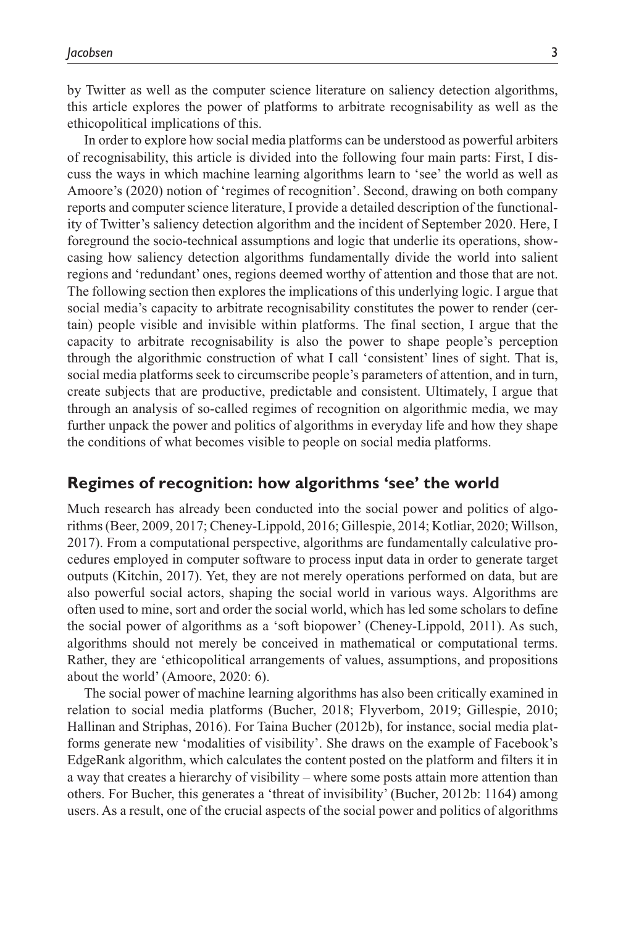by Twitter as well as the computer science literature on saliency detection algorithms, this article explores the power of platforms to arbitrate recognisability as well as the ethicopolitical implications of this.

In order to explore how social media platforms can be understood as powerful arbiters of recognisability, this article is divided into the following four main parts: First, I discuss the ways in which machine learning algorithms learn to 'see' the world as well as Amoore's (2020) notion of 'regimes of recognition'. Second, drawing on both company reports and computer science literature, I provide a detailed description of the functionality of Twitter's saliency detection algorithm and the incident of September 2020. Here, I foreground the socio-technical assumptions and logic that underlie its operations, showcasing how saliency detection algorithms fundamentally divide the world into salient regions and 'redundant' ones, regions deemed worthy of attention and those that are not. The following section then explores the implications of this underlying logic. I argue that social media's capacity to arbitrate recognisability constitutes the power to render (certain) people visible and invisible within platforms. The final section, I argue that the capacity to arbitrate recognisability is also the power to shape people's perception through the algorithmic construction of what I call 'consistent' lines of sight. That is, social media platforms seek to circumscribe people's parameters of attention, and in turn, create subjects that are productive, predictable and consistent. Ultimately, I argue that through an analysis of so-called regimes of recognition on algorithmic media, we may further unpack the power and politics of algorithms in everyday life and how they shape the conditions of what becomes visible to people on social media platforms.

### **Regimes of recognition: how algorithms 'see' the world**

Much research has already been conducted into the social power and politics of algorithms (Beer, 2009, 2017; Cheney-Lippold, 2016; Gillespie, 2014; Kotliar, 2020; Willson, 2017). From a computational perspective, algorithms are fundamentally calculative procedures employed in computer software to process input data in order to generate target outputs (Kitchin, 2017). Yet, they are not merely operations performed on data, but are also powerful social actors, shaping the social world in various ways. Algorithms are often used to mine, sort and order the social world, which has led some scholars to define the social power of algorithms as a 'soft biopower' (Cheney-Lippold, 2011). As such, algorithms should not merely be conceived in mathematical or computational terms. Rather, they are 'ethicopolitical arrangements of values, assumptions, and propositions about the world' (Amoore, 2020: 6).

The social power of machine learning algorithms has also been critically examined in relation to social media platforms (Bucher, 2018; Flyverbom, 2019; Gillespie, 2010; Hallinan and Striphas, 2016). For Taina Bucher (2012b), for instance, social media platforms generate new 'modalities of visibility'. She draws on the example of Facebook's EdgeRank algorithm, which calculates the content posted on the platform and filters it in a way that creates a hierarchy of visibility – where some posts attain more attention than others. For Bucher, this generates a 'threat of invisibility' (Bucher, 2012b: 1164) among users. As a result, one of the crucial aspects of the social power and politics of algorithms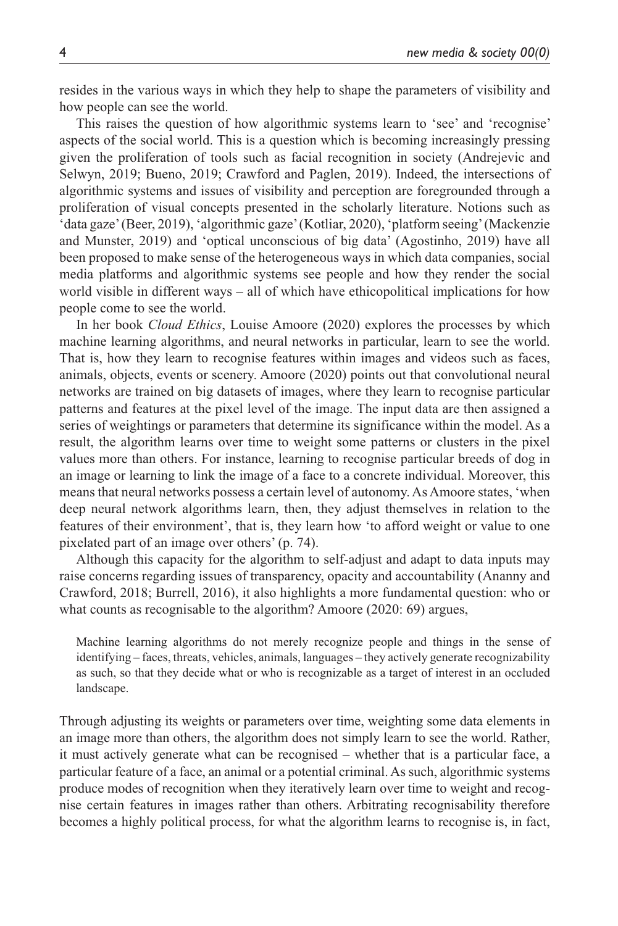resides in the various ways in which they help to shape the parameters of visibility and how people can see the world.

This raises the question of how algorithmic systems learn to 'see' and 'recognise' aspects of the social world. This is a question which is becoming increasingly pressing given the proliferation of tools such as facial recognition in society (Andrejevic and Selwyn, 2019; Bueno, 2019; Crawford and Paglen, 2019). Indeed, the intersections of algorithmic systems and issues of visibility and perception are foregrounded through a proliferation of visual concepts presented in the scholarly literature. Notions such as 'data gaze' (Beer, 2019), 'algorithmic gaze' (Kotliar, 2020), 'platform seeing' (Mackenzie and Munster, 2019) and 'optical unconscious of big data' (Agostinho, 2019) have all been proposed to make sense of the heterogeneous ways in which data companies, social media platforms and algorithmic systems see people and how they render the social world visible in different ways – all of which have ethicopolitical implications for how people come to see the world.

In her book *Cloud Ethics*, Louise Amoore (2020) explores the processes by which machine learning algorithms, and neural networks in particular, learn to see the world. That is, how they learn to recognise features within images and videos such as faces, animals, objects, events or scenery. Amoore (2020) points out that convolutional neural networks are trained on big datasets of images, where they learn to recognise particular patterns and features at the pixel level of the image. The input data are then assigned a series of weightings or parameters that determine its significance within the model. As a result, the algorithm learns over time to weight some patterns or clusters in the pixel values more than others. For instance, learning to recognise particular breeds of dog in an image or learning to link the image of a face to a concrete individual. Moreover, this means that neural networks possess a certain level of autonomy. As Amoore states, 'when deep neural network algorithms learn, then, they adjust themselves in relation to the features of their environment', that is, they learn how 'to afford weight or value to one pixelated part of an image over others' (p. 74).

Although this capacity for the algorithm to self-adjust and adapt to data inputs may raise concerns regarding issues of transparency, opacity and accountability (Ananny and Crawford, 2018; Burrell, 2016), it also highlights a more fundamental question: who or what counts as recognisable to the algorithm? Amoore (2020: 69) argues,

Machine learning algorithms do not merely recognize people and things in the sense of identifying – faces, threats, vehicles, animals, languages – they actively generate recognizability as such, so that they decide what or who is recognizable as a target of interest in an occluded landscape.

Through adjusting its weights or parameters over time, weighting some data elements in an image more than others, the algorithm does not simply learn to see the world. Rather, it must actively generate what can be recognised – whether that is a particular face, a particular feature of a face, an animal or a potential criminal. As such, algorithmic systems produce modes of recognition when they iteratively learn over time to weight and recognise certain features in images rather than others. Arbitrating recognisability therefore becomes a highly political process, for what the algorithm learns to recognise is, in fact,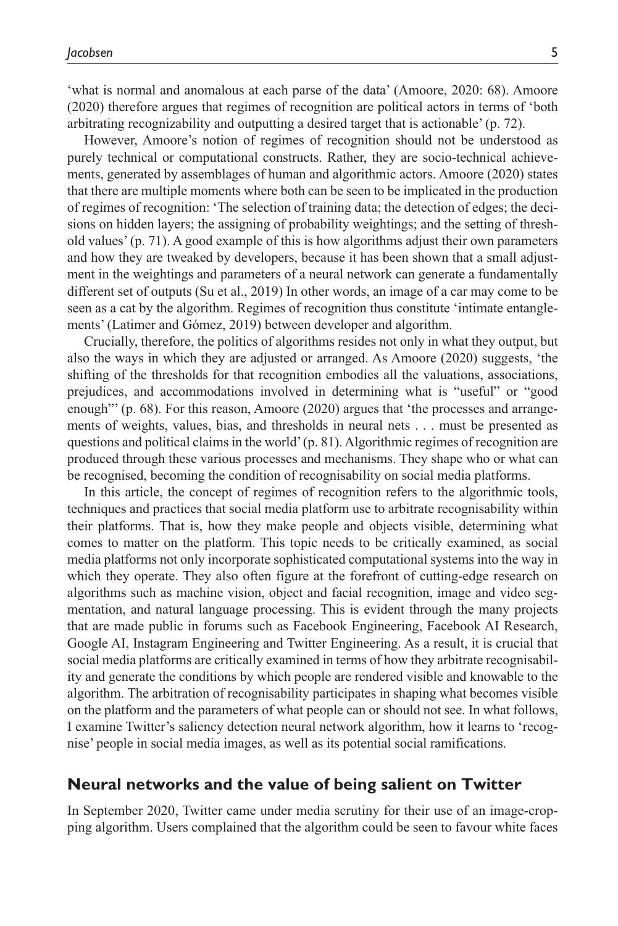'what is normal and anomalous at each parse of the data' (Amoore, 2020: 68). Amoore (2020) therefore argues that regimes of recognition are political actors in terms of 'both arbitrating recognizability and outputting a desired target that is actionable' (p. 72).

However, Amoore's notion of regimes of recognition should not be understood as purely technical or computational constructs. Rather, they are socio-technical achievements, generated by assemblages of human and algorithmic actors. Amoore (2020) states that there are multiple moments where both can be seen to be implicated in the production of regimes of recognition: 'The selection of training data; the detection of edges; the decisions on hidden layers; the assigning of probability weightings; and the setting of threshold values' (p. 71). A good example of this is how algorithms adjust their own parameters and how they are tweaked by developers, because it has been shown that a small adjustment in the weightings and parameters of a neural network can generate a fundamentally different set of outputs (Su et al., 2019) In other words, an image of a car may come to be seen as a cat by the algorithm. Regimes of recognition thus constitute 'intimate entanglements' (Latimer and Gómez, 2019) between developer and algorithm.

Crucially, therefore, the politics of algorithms resides not only in what they output, but also the ways in which they are adjusted or arranged. As Amoore (2020) suggests, 'the shifting of the thresholds for that recognition embodies all the valuations, associations, prejudices, and accommodations involved in determining what is "useful" or "good enough"' (p. 68). For this reason, Amoore (2020) argues that 'the processes and arrangements of weights, values, bias, and thresholds in neural nets . . . must be presented as questions and political claims in the world' (p. 81). Algorithmic regimes of recognition are produced through these various processes and mechanisms. They shape who or what can be recognised, becoming the condition of recognisability on social media platforms.

In this article, the concept of regimes of recognition refers to the algorithmic tools, techniques and practices that social media platform use to arbitrate recognisability within their platforms. That is, how they make people and objects visible, determining what comes to matter on the platform. This topic needs to be critically examined, as social media platforms not only incorporate sophisticated computational systems into the way in which they operate. They also often figure at the forefront of cutting-edge research on algorithms such as machine vision, object and facial recognition, image and video segmentation, and natural language processing. This is evident through the many projects that are made public in forums such as Facebook Engineering, Facebook AI Research, Google AI, Instagram Engineering and Twitter Engineering. As a result, it is crucial that social media platforms are critically examined in terms of how they arbitrate recognisability and generate the conditions by which people are rendered visible and knowable to the algorithm. The arbitration of recognisability participates in shaping what becomes visible on the platform and the parameters of what people can or should not see. In what follows, I examine Twitter's saliency detection neural network algorithm, how it learns to 'recognise' people in social media images, as well as its potential social ramifications.

## **Neural networks and the value of being salient on Twitter**

In September 2020, Twitter came under media scrutiny for their use of an image-cropping algorithm. Users complained that the algorithm could be seen to favour white faces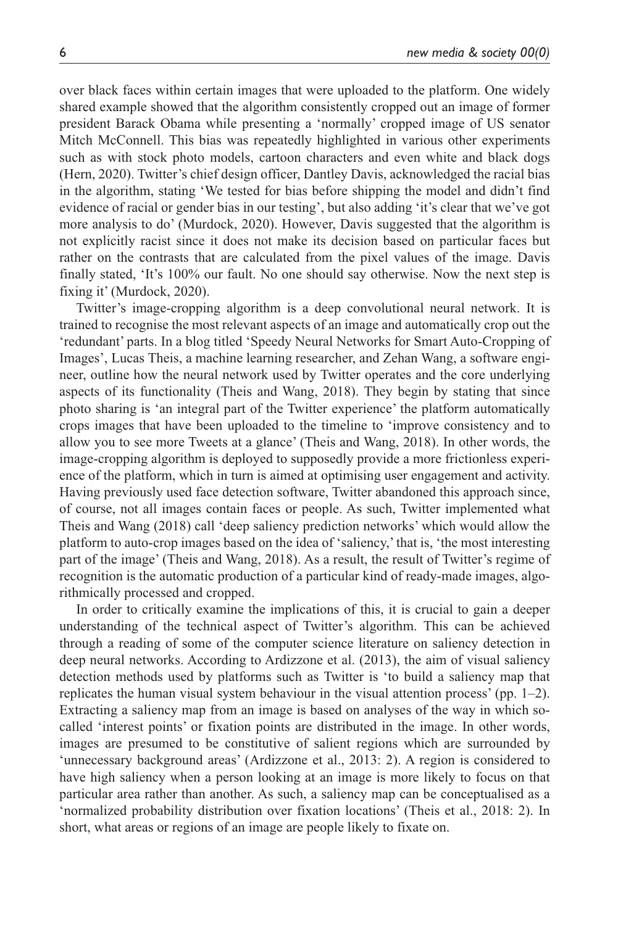over black faces within certain images that were uploaded to the platform. One widely shared example showed that the algorithm consistently cropped out an image of former president Barack Obama while presenting a 'normally' cropped image of US senator Mitch McConnell. This bias was repeatedly highlighted in various other experiments such as with stock photo models, cartoon characters and even white and black dogs (Hern, 2020). Twitter's chief design officer, Dantley Davis, acknowledged the racial bias in the algorithm, stating 'We tested for bias before shipping the model and didn't find evidence of racial or gender bias in our testing', but also adding 'it's clear that we've got more analysis to do' (Murdock, 2020). However, Davis suggested that the algorithm is not explicitly racist since it does not make its decision based on particular faces but rather on the contrasts that are calculated from the pixel values of the image. Davis finally stated, 'It's 100% our fault. No one should say otherwise. Now the next step is fixing it' (Murdock, 2020).

Twitter's image-cropping algorithm is a deep convolutional neural network. It is trained to recognise the most relevant aspects of an image and automatically crop out the 'redundant' parts. In a blog titled 'Speedy Neural Networks for Smart Auto-Cropping of Images', Lucas Theis, a machine learning researcher, and Zehan Wang, a software engineer, outline how the neural network used by Twitter operates and the core underlying aspects of its functionality (Theis and Wang, 2018). They begin by stating that since photo sharing is 'an integral part of the Twitter experience' the platform automatically crops images that have been uploaded to the timeline to 'improve consistency and to allow you to see more Tweets at a glance' (Theis and Wang, 2018). In other words, the image-cropping algorithm is deployed to supposedly provide a more frictionless experience of the platform, which in turn is aimed at optimising user engagement and activity. Having previously used face detection software, Twitter abandoned this approach since, of course, not all images contain faces or people. As such, Twitter implemented what Theis and Wang (2018) call 'deep saliency prediction networks' which would allow the platform to auto-crop images based on the idea of 'saliency,' that is, 'the most interesting part of the image' (Theis and Wang, 2018). As a result, the result of Twitter's regime of recognition is the automatic production of a particular kind of ready-made images, algorithmically processed and cropped.

In order to critically examine the implications of this, it is crucial to gain a deeper understanding of the technical aspect of Twitter's algorithm. This can be achieved through a reading of some of the computer science literature on saliency detection in deep neural networks. According to Ardizzone et al. (2013), the aim of visual saliency detection methods used by platforms such as Twitter is 'to build a saliency map that replicates the human visual system behaviour in the visual attention process' (pp.  $1-2$ ). Extracting a saliency map from an image is based on analyses of the way in which socalled 'interest points' or fixation points are distributed in the image. In other words, images are presumed to be constitutive of salient regions which are surrounded by 'unnecessary background areas' (Ardizzone et al., 2013: 2). A region is considered to have high saliency when a person looking at an image is more likely to focus on that particular area rather than another. As such, a saliency map can be conceptualised as a 'normalized probability distribution over fixation locations' (Theis et al., 2018: 2). In short, what areas or regions of an image are people likely to fixate on.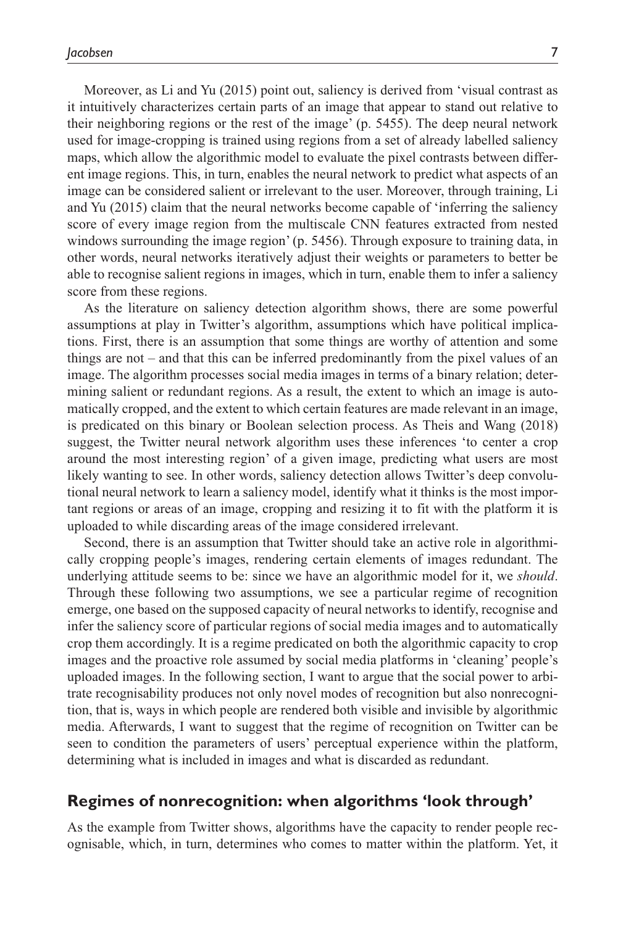Moreover, as Li and Yu (2015) point out, saliency is derived from 'visual contrast as it intuitively characterizes certain parts of an image that appear to stand out relative to their neighboring regions or the rest of the image' (p. 5455). The deep neural network used for image-cropping is trained using regions from a set of already labelled saliency maps, which allow the algorithmic model to evaluate the pixel contrasts between different image regions. This, in turn, enables the neural network to predict what aspects of an image can be considered salient or irrelevant to the user. Moreover, through training, Li and Yu (2015) claim that the neural networks become capable of 'inferring the saliency score of every image region from the multiscale CNN features extracted from nested windows surrounding the image region' (p. 5456). Through exposure to training data, in other words, neural networks iteratively adjust their weights or parameters to better be able to recognise salient regions in images, which in turn, enable them to infer a saliency score from these regions.

As the literature on saliency detection algorithm shows, there are some powerful assumptions at play in Twitter's algorithm, assumptions which have political implications. First, there is an assumption that some things are worthy of attention and some things are not – and that this can be inferred predominantly from the pixel values of an image. The algorithm processes social media images in terms of a binary relation; determining salient or redundant regions. As a result, the extent to which an image is automatically cropped, and the extent to which certain features are made relevant in an image, is predicated on this binary or Boolean selection process. As Theis and Wang (2018) suggest, the Twitter neural network algorithm uses these inferences 'to center a crop around the most interesting region' of a given image, predicting what users are most likely wanting to see. In other words, saliency detection allows Twitter's deep convolutional neural network to learn a saliency model, identify what it thinks is the most important regions or areas of an image, cropping and resizing it to fit with the platform it is uploaded to while discarding areas of the image considered irrelevant.

Second, there is an assumption that Twitter should take an active role in algorithmically cropping people's images, rendering certain elements of images redundant. The underlying attitude seems to be: since we have an algorithmic model for it, we *should*. Through these following two assumptions, we see a particular regime of recognition emerge, one based on the supposed capacity of neural networks to identify, recognise and infer the saliency score of particular regions of social media images and to automatically crop them accordingly. It is a regime predicated on both the algorithmic capacity to crop images and the proactive role assumed by social media platforms in 'cleaning' people's uploaded images. In the following section, I want to argue that the social power to arbitrate recognisability produces not only novel modes of recognition but also nonrecognition, that is, ways in which people are rendered both visible and invisible by algorithmic media. Afterwards, I want to suggest that the regime of recognition on Twitter can be seen to condition the parameters of users' perceptual experience within the platform, determining what is included in images and what is discarded as redundant.

### **Regimes of nonrecognition: when algorithms 'look through'**

As the example from Twitter shows, algorithms have the capacity to render people recognisable, which, in turn, determines who comes to matter within the platform. Yet, it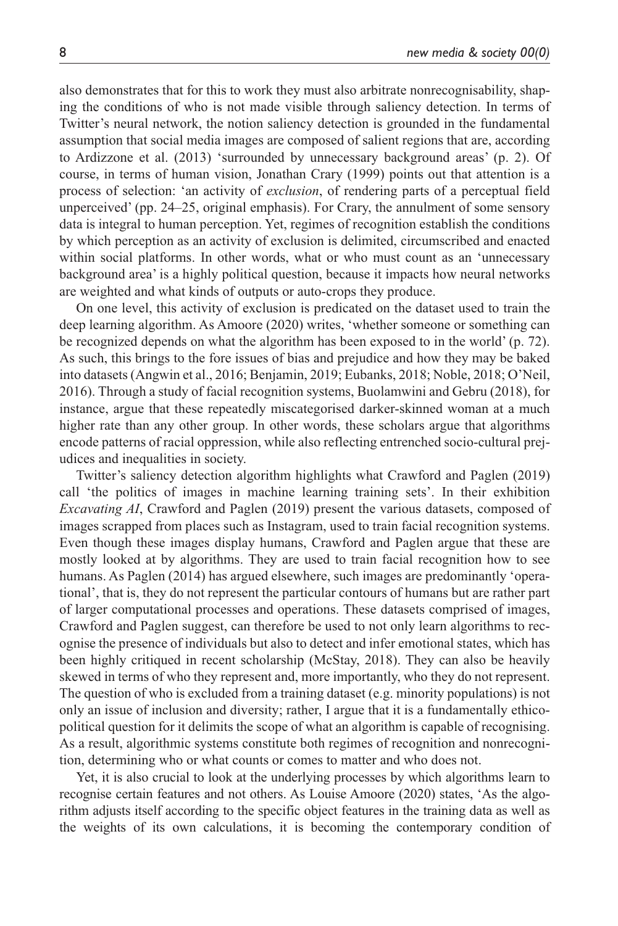also demonstrates that for this to work they must also arbitrate nonrecognisability, shaping the conditions of who is not made visible through saliency detection. In terms of Twitter's neural network, the notion saliency detection is grounded in the fundamental assumption that social media images are composed of salient regions that are, according to Ardizzone et al. (2013) 'surrounded by unnecessary background areas' (p. 2). Of course, in terms of human vision, Jonathan Crary (1999) points out that attention is a process of selection: 'an activity of *exclusion*, of rendering parts of a perceptual field unperceived' (pp. 24–25, original emphasis). For Crary, the annulment of some sensory data is integral to human perception. Yet, regimes of recognition establish the conditions by which perception as an activity of exclusion is delimited, circumscribed and enacted within social platforms. In other words, what or who must count as an 'unnecessary background area' is a highly political question, because it impacts how neural networks are weighted and what kinds of outputs or auto-crops they produce.

On one level, this activity of exclusion is predicated on the dataset used to train the deep learning algorithm. As Amoore (2020) writes, 'whether someone or something can be recognized depends on what the algorithm has been exposed to in the world' (p. 72). As such, this brings to the fore issues of bias and prejudice and how they may be baked into datasets (Angwin et al., 2016; Benjamin, 2019; Eubanks, 2018; Noble, 2018; O'Neil, 2016). Through a study of facial recognition systems, Buolamwini and Gebru (2018), for instance, argue that these repeatedly miscategorised darker-skinned woman at a much higher rate than any other group. In other words, these scholars argue that algorithms encode patterns of racial oppression, while also reflecting entrenched socio-cultural prejudices and inequalities in society.

Twitter's saliency detection algorithm highlights what Crawford and Paglen (2019) call 'the politics of images in machine learning training sets'. In their exhibition *Excavating AI*, Crawford and Paglen (2019) present the various datasets, composed of images scrapped from places such as Instagram, used to train facial recognition systems. Even though these images display humans, Crawford and Paglen argue that these are mostly looked at by algorithms. They are used to train facial recognition how to see humans. As Paglen (2014) has argued elsewhere, such images are predominantly 'operational', that is, they do not represent the particular contours of humans but are rather part of larger computational processes and operations. These datasets comprised of images, Crawford and Paglen suggest, can therefore be used to not only learn algorithms to recognise the presence of individuals but also to detect and infer emotional states, which has been highly critiqued in recent scholarship (McStay, 2018). They can also be heavily skewed in terms of who they represent and, more importantly, who they do not represent. The question of who is excluded from a training dataset (e.g. minority populations) is not only an issue of inclusion and diversity; rather, I argue that it is a fundamentally ethicopolitical question for it delimits the scope of what an algorithm is capable of recognising. As a result, algorithmic systems constitute both regimes of recognition and nonrecognition, determining who or what counts or comes to matter and who does not.

Yet, it is also crucial to look at the underlying processes by which algorithms learn to recognise certain features and not others. As Louise Amoore (2020) states, 'As the algorithm adjusts itself according to the specific object features in the training data as well as the weights of its own calculations, it is becoming the contemporary condition of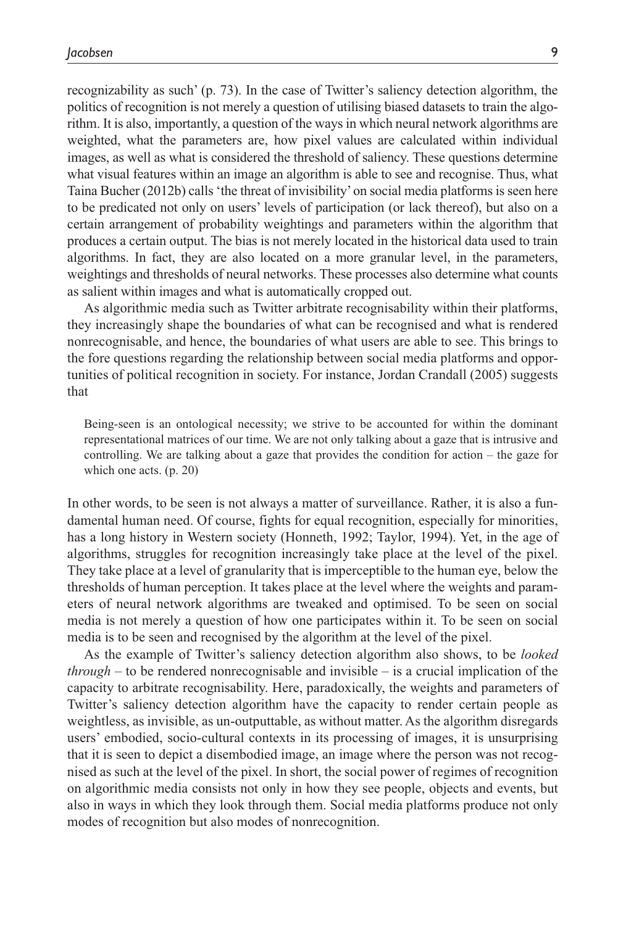recognizability as such' (p. 73). In the case of Twitter's saliency detection algorithm, the politics of recognition is not merely a question of utilising biased datasets to train the algorithm. It is also, importantly, a question of the ways in which neural network algorithms are weighted, what the parameters are, how pixel values are calculated within individual images, as well as what is considered the threshold of saliency. These questions determine what visual features within an image an algorithm is able to see and recognise. Thus, what Taina Bucher (2012b) calls 'the threat of invisibility' on social media platforms is seen here to be predicated not only on users' levels of participation (or lack thereof), but also on a certain arrangement of probability weightings and parameters within the algorithm that produces a certain output. The bias is not merely located in the historical data used to train algorithms. In fact, they are also located on a more granular level, in the parameters, weightings and thresholds of neural networks. These processes also determine what counts as salient within images and what is automatically cropped out.

As algorithmic media such as Twitter arbitrate recognisability within their platforms, they increasingly shape the boundaries of what can be recognised and what is rendered nonrecognisable, and hence, the boundaries of what users are able to see. This brings to the fore questions regarding the relationship between social media platforms and opportunities of political recognition in society. For instance, Jordan Crandall (2005) suggests that

Being-seen is an ontological necessity; we strive to be accounted for within the dominant representational matrices of our time. We are not only talking about a gaze that is intrusive and controlling. We are talking about a gaze that provides the condition for action – the gaze for which one acts. (p. 20)

In other words, to be seen is not always a matter of surveillance. Rather, it is also a fundamental human need. Of course, fights for equal recognition, especially for minorities, has a long history in Western society (Honneth, 1992; Taylor, 1994). Yet, in the age of algorithms, struggles for recognition increasingly take place at the level of the pixel. They take place at a level of granularity that is imperceptible to the human eye, below the thresholds of human perception. It takes place at the level where the weights and parameters of neural network algorithms are tweaked and optimised. To be seen on social media is not merely a question of how one participates within it. To be seen on social media is to be seen and recognised by the algorithm at the level of the pixel.

As the example of Twitter's saliency detection algorithm also shows, to be *looked through* – to be rendered nonrecognisable and invisible – is a crucial implication of the capacity to arbitrate recognisability. Here, paradoxically, the weights and parameters of Twitter's saliency detection algorithm have the capacity to render certain people as weightless, as invisible, as un-outputtable, as without matter. As the algorithm disregards users' embodied, socio-cultural contexts in its processing of images, it is unsurprising that it is seen to depict a disembodied image, an image where the person was not recognised as such at the level of the pixel. In short, the social power of regimes of recognition on algorithmic media consists not only in how they see people, objects and events, but also in ways in which they look through them. Social media platforms produce not only modes of recognition but also modes of nonrecognition.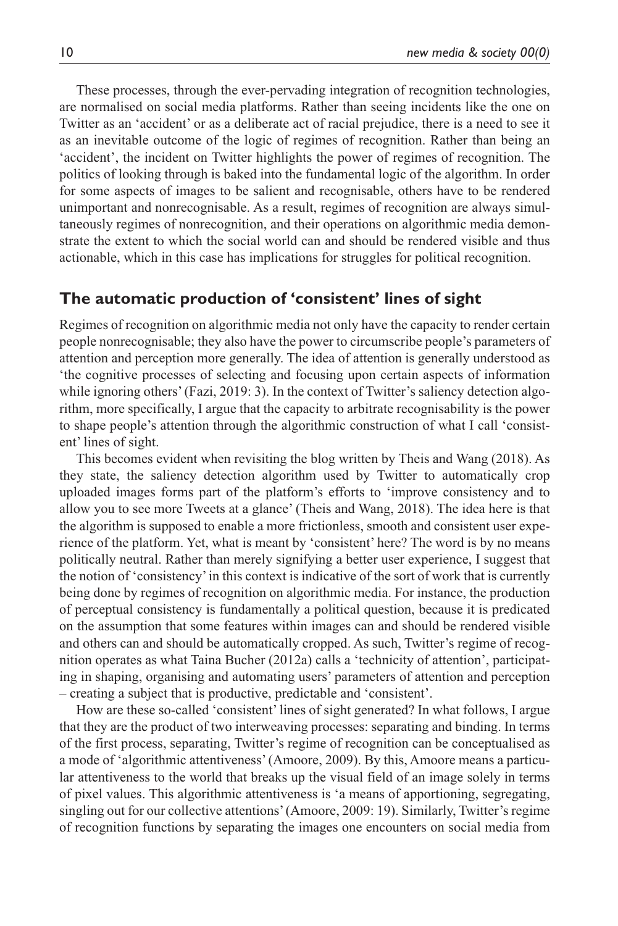These processes, through the ever-pervading integration of recognition technologies, are normalised on social media platforms. Rather than seeing incidents like the one on Twitter as an 'accident' or as a deliberate act of racial prejudice, there is a need to see it as an inevitable outcome of the logic of regimes of recognition. Rather than being an 'accident', the incident on Twitter highlights the power of regimes of recognition. The politics of looking through is baked into the fundamental logic of the algorithm. In order for some aspects of images to be salient and recognisable, others have to be rendered unimportant and nonrecognisable. As a result, regimes of recognition are always simultaneously regimes of nonrecognition, and their operations on algorithmic media demonstrate the extent to which the social world can and should be rendered visible and thus actionable, which in this case has implications for struggles for political recognition.

## **The automatic production of 'consistent' lines of sight**

Regimes of recognition on algorithmic media not only have the capacity to render certain people nonrecognisable; they also have the power to circumscribe people's parameters of attention and perception more generally. The idea of attention is generally understood as 'the cognitive processes of selecting and focusing upon certain aspects of information while ignoring others' (Fazi, 2019: 3). In the context of Twitter's saliency detection algorithm, more specifically, I argue that the capacity to arbitrate recognisability is the power to shape people's attention through the algorithmic construction of what I call 'consistent' lines of sight.

This becomes evident when revisiting the blog written by Theis and Wang (2018). As they state, the saliency detection algorithm used by Twitter to automatically crop uploaded images forms part of the platform's efforts to 'improve consistency and to allow you to see more Tweets at a glance' (Theis and Wang, 2018). The idea here is that the algorithm is supposed to enable a more frictionless, smooth and consistent user experience of the platform. Yet, what is meant by 'consistent' here? The word is by no means politically neutral. Rather than merely signifying a better user experience, I suggest that the notion of 'consistency' in this context is indicative of the sort of work that is currently being done by regimes of recognition on algorithmic media. For instance, the production of perceptual consistency is fundamentally a political question, because it is predicated on the assumption that some features within images can and should be rendered visible and others can and should be automatically cropped. As such, Twitter's regime of recognition operates as what Taina Bucher (2012a) calls a 'technicity of attention', participating in shaping, organising and automating users' parameters of attention and perception – creating a subject that is productive, predictable and 'consistent'.

How are these so-called 'consistent' lines of sight generated? In what follows, I argue that they are the product of two interweaving processes: separating and binding. In terms of the first process, separating, Twitter's regime of recognition can be conceptualised as a mode of 'algorithmic attentiveness' (Amoore, 2009). By this, Amoore means a particular attentiveness to the world that breaks up the visual field of an image solely in terms of pixel values. This algorithmic attentiveness is 'a means of apportioning, segregating, singling out for our collective attentions' (Amoore, 2009: 19). Similarly, Twitter's regime of recognition functions by separating the images one encounters on social media from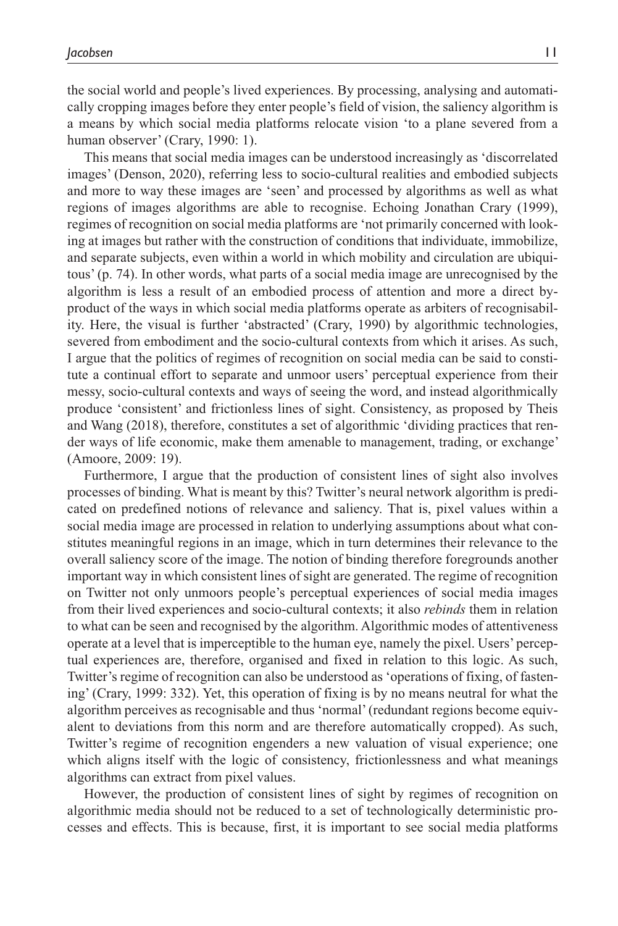the social world and people's lived experiences. By processing, analysing and automatically cropping images before they enter people's field of vision, the saliency algorithm is a means by which social media platforms relocate vision 'to a plane severed from a human observer' (Crary, 1990: 1).

This means that social media images can be understood increasingly as 'discorrelated images' (Denson, 2020), referring less to socio-cultural realities and embodied subjects and more to way these images are 'seen' and processed by algorithms as well as what regions of images algorithms are able to recognise. Echoing Jonathan Crary (1999), regimes of recognition on social media platforms are 'not primarily concerned with looking at images but rather with the construction of conditions that individuate, immobilize, and separate subjects, even within a world in which mobility and circulation are ubiquitous' (p. 74). In other words, what parts of a social media image are unrecognised by the algorithm is less a result of an embodied process of attention and more a direct byproduct of the ways in which social media platforms operate as arbiters of recognisability. Here, the visual is further 'abstracted' (Crary, 1990) by algorithmic technologies, severed from embodiment and the socio-cultural contexts from which it arises. As such, I argue that the politics of regimes of recognition on social media can be said to constitute a continual effort to separate and unmoor users' perceptual experience from their messy, socio-cultural contexts and ways of seeing the word, and instead algorithmically produce 'consistent' and frictionless lines of sight. Consistency, as proposed by Theis and Wang (2018), therefore, constitutes a set of algorithmic 'dividing practices that render ways of life economic, make them amenable to management, trading, or exchange' (Amoore, 2009: 19).

Furthermore, I argue that the production of consistent lines of sight also involves processes of binding. What is meant by this? Twitter's neural network algorithm is predicated on predefined notions of relevance and saliency. That is, pixel values within a social media image are processed in relation to underlying assumptions about what constitutes meaningful regions in an image, which in turn determines their relevance to the overall saliency score of the image. The notion of binding therefore foregrounds another important way in which consistent lines of sight are generated. The regime of recognition on Twitter not only unmoors people's perceptual experiences of social media images from their lived experiences and socio-cultural contexts; it also *rebinds* them in relation to what can be seen and recognised by the algorithm. Algorithmic modes of attentiveness operate at a level that is imperceptible to the human eye, namely the pixel. Users' perceptual experiences are, therefore, organised and fixed in relation to this logic. As such, Twitter's regime of recognition can also be understood as 'operations of fixing, of fastening' (Crary, 1999: 332). Yet, this operation of fixing is by no means neutral for what the algorithm perceives as recognisable and thus 'normal' (redundant regions become equivalent to deviations from this norm and are therefore automatically cropped). As such, Twitter's regime of recognition engenders a new valuation of visual experience; one which aligns itself with the logic of consistency, frictionlessness and what meanings algorithms can extract from pixel values.

However, the production of consistent lines of sight by regimes of recognition on algorithmic media should not be reduced to a set of technologically deterministic processes and effects. This is because, first, it is important to see social media platforms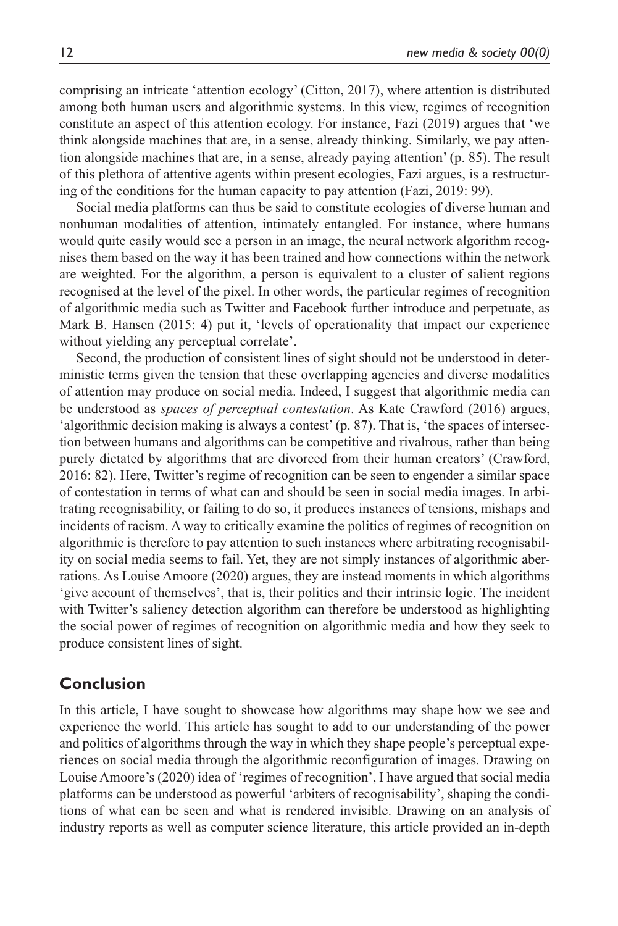comprising an intricate 'attention ecology' (Citton, 2017), where attention is distributed among both human users and algorithmic systems. In this view, regimes of recognition constitute an aspect of this attention ecology. For instance, Fazi (2019) argues that 'we think alongside machines that are, in a sense, already thinking. Similarly, we pay attention alongside machines that are, in a sense, already paying attention' (p. 85). The result of this plethora of attentive agents within present ecologies, Fazi argues, is a restructuring of the conditions for the human capacity to pay attention (Fazi, 2019: 99).

Social media platforms can thus be said to constitute ecologies of diverse human and nonhuman modalities of attention, intimately entangled. For instance, where humans would quite easily would see a person in an image, the neural network algorithm recognises them based on the way it has been trained and how connections within the network are weighted. For the algorithm, a person is equivalent to a cluster of salient regions recognised at the level of the pixel. In other words, the particular regimes of recognition of algorithmic media such as Twitter and Facebook further introduce and perpetuate, as Mark B. Hansen (2015: 4) put it, 'levels of operationality that impact our experience without yielding any perceptual correlate'.

Second, the production of consistent lines of sight should not be understood in deterministic terms given the tension that these overlapping agencies and diverse modalities of attention may produce on social media. Indeed, I suggest that algorithmic media can be understood as *spaces of perceptual contestation*. As Kate Crawford (2016) argues, 'algorithmic decision making is always a contest' (p. 87). That is, 'the spaces of intersection between humans and algorithms can be competitive and rivalrous, rather than being purely dictated by algorithms that are divorced from their human creators' (Crawford, 2016: 82). Here, Twitter's regime of recognition can be seen to engender a similar space of contestation in terms of what can and should be seen in social media images. In arbitrating recognisability, or failing to do so, it produces instances of tensions, mishaps and incidents of racism. A way to critically examine the politics of regimes of recognition on algorithmic is therefore to pay attention to such instances where arbitrating recognisability on social media seems to fail. Yet, they are not simply instances of algorithmic aberrations. As Louise Amoore (2020) argues, they are instead moments in which algorithms 'give account of themselves', that is, their politics and their intrinsic logic. The incident with Twitter's saliency detection algorithm can therefore be understood as highlighting the social power of regimes of recognition on algorithmic media and how they seek to produce consistent lines of sight.

## **Conclusion**

In this article, I have sought to showcase how algorithms may shape how we see and experience the world. This article has sought to add to our understanding of the power and politics of algorithms through the way in which they shape people's perceptual experiences on social media through the algorithmic reconfiguration of images. Drawing on Louise Amoore's (2020) idea of 'regimes of recognition', I have argued that social media platforms can be understood as powerful 'arbiters of recognisability', shaping the conditions of what can be seen and what is rendered invisible. Drawing on an analysis of industry reports as well as computer science literature, this article provided an in-depth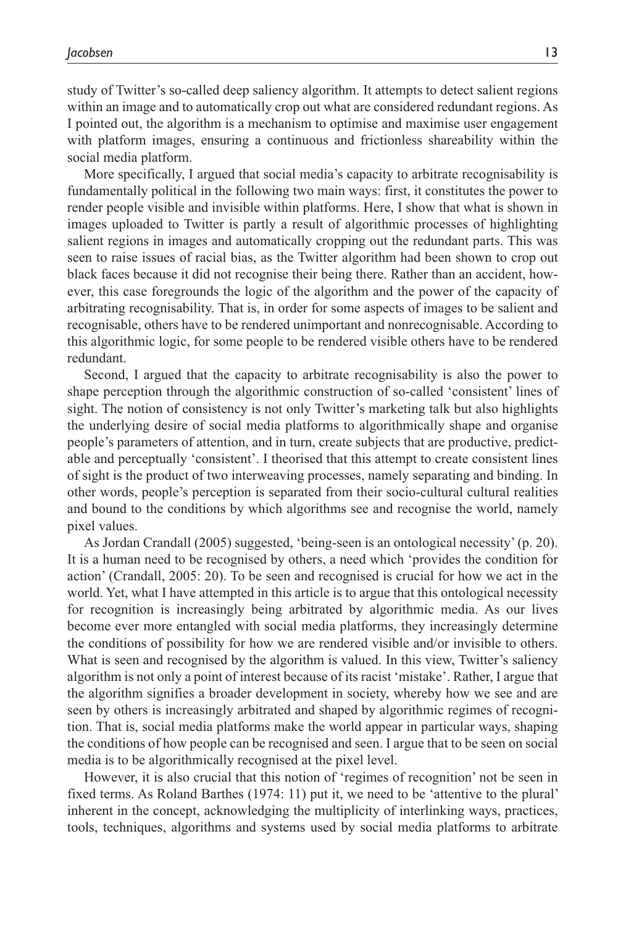study of Twitter's so-called deep saliency algorithm. It attempts to detect salient regions within an image and to automatically crop out what are considered redundant regions. As I pointed out, the algorithm is a mechanism to optimise and maximise user engagement with platform images, ensuring a continuous and frictionless shareability within the social media platform.

More specifically, I argued that social media's capacity to arbitrate recognisability is fundamentally political in the following two main ways: first, it constitutes the power to render people visible and invisible within platforms. Here, I show that what is shown in images uploaded to Twitter is partly a result of algorithmic processes of highlighting salient regions in images and automatically cropping out the redundant parts. This was seen to raise issues of racial bias, as the Twitter algorithm had been shown to crop out black faces because it did not recognise their being there. Rather than an accident, however, this case foregrounds the logic of the algorithm and the power of the capacity of arbitrating recognisability. That is, in order for some aspects of images to be salient and recognisable, others have to be rendered unimportant and nonrecognisable. According to this algorithmic logic, for some people to be rendered visible others have to be rendered redundant.

Second, I argued that the capacity to arbitrate recognisability is also the power to shape perception through the algorithmic construction of so-called 'consistent' lines of sight. The notion of consistency is not only Twitter's marketing talk but also highlights the underlying desire of social media platforms to algorithmically shape and organise people's parameters of attention, and in turn, create subjects that are productive, predictable and perceptually 'consistent'. I theorised that this attempt to create consistent lines of sight is the product of two interweaving processes, namely separating and binding. In other words, people's perception is separated from their socio-cultural cultural realities and bound to the conditions by which algorithms see and recognise the world, namely pixel values.

As Jordan Crandall (2005) suggested, 'being-seen is an ontological necessity' (p. 20). It is a human need to be recognised by others, a need which 'provides the condition for action' (Crandall, 2005: 20). To be seen and recognised is crucial for how we act in the world. Yet, what I have attempted in this article is to argue that this ontological necessity for recognition is increasingly being arbitrated by algorithmic media. As our lives become ever more entangled with social media platforms, they increasingly determine the conditions of possibility for how we are rendered visible and/or invisible to others. What is seen and recognised by the algorithm is valued. In this view, Twitter's saliency algorithm is not only a point of interest because of its racist 'mistake'. Rather, I argue that the algorithm signifies a broader development in society, whereby how we see and are seen by others is increasingly arbitrated and shaped by algorithmic regimes of recognition. That is, social media platforms make the world appear in particular ways, shaping the conditions of how people can be recognised and seen. I argue that to be seen on social media is to be algorithmically recognised at the pixel level.

However, it is also crucial that this notion of 'regimes of recognition' not be seen in fixed terms. As Roland Barthes (1974: 11) put it, we need to be 'attentive to the plural' inherent in the concept, acknowledging the multiplicity of interlinking ways, practices, tools, techniques, algorithms and systems used by social media platforms to arbitrate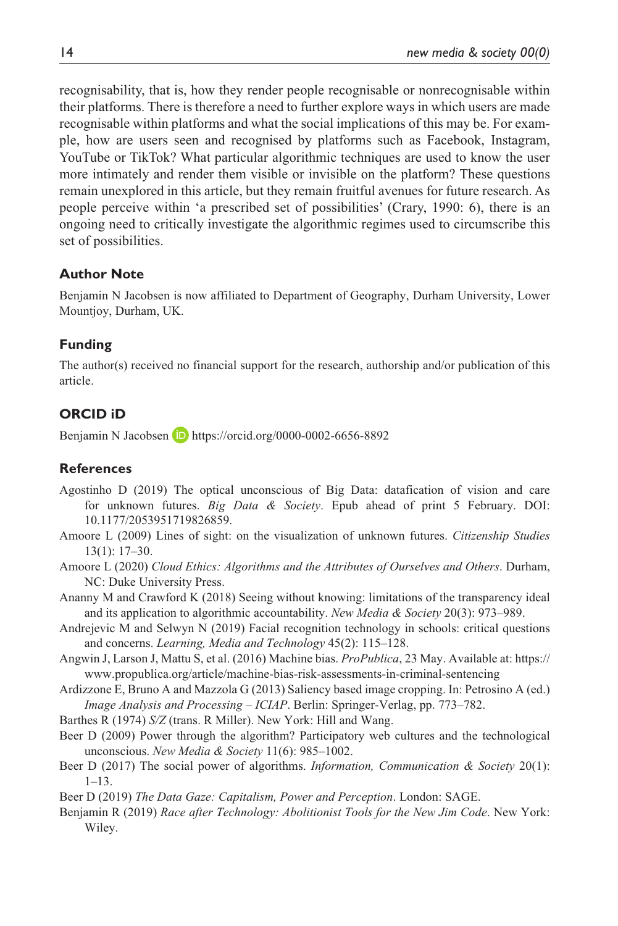recognisability, that is, how they render people recognisable or nonrecognisable within their platforms. There is therefore a need to further explore ways in which users are made recognisable within platforms and what the social implications of this may be. For example, how are users seen and recognised by platforms such as Facebook, Instagram, YouTube or TikTok? What particular algorithmic techniques are used to know the user more intimately and render them visible or invisible on the platform? These questions remain unexplored in this article, but they remain fruitful avenues for future research. As people perceive within 'a prescribed set of possibilities' (Crary, 1990: 6), there is an ongoing need to critically investigate the algorithmic regimes used to circumscribe this set of possibilities.

### **Author Note**

Benjamin N Jacobsen is now affiliated to Department of Geography, Durham University, Lower Mountjoy, Durham, UK.

## **Funding**

The author(s) received no financial support for the research, authorship and/or publication of this article.

## **ORCID iD**

Benjamin N Jacobsen **iD** <https://orcid.org/0000-0002-6656-8892>

### **References**

- Agostinho D (2019) The optical unconscious of Big Data: datafication of vision and care for unknown futures. *Big Data & Society*. Epub ahead of print 5 February. DOI: 10.1177/2053951719826859.
- Amoore L (2009) Lines of sight: on the visualization of unknown futures. *Citizenship Studies* 13(1): 17–30.
- Amoore L (2020) *Cloud Ethics: Algorithms and the Attributes of Ourselves and Others*. Durham, NC: Duke University Press.
- Ananny M and Crawford K (2018) Seeing without knowing: limitations of the transparency ideal and its application to algorithmic accountability. *New Media & Society* 20(3): 973–989.
- Andrejevic M and Selwyn N (2019) Facial recognition technology in schools: critical questions and concerns. *Learning, Media and Technology* 45(2): 115–128.
- Angwin J, Larson J, Mattu S, et al. (2016) Machine bias. *ProPublica*, 23 May. Available at: [https://](https://www.propublica.org/article/machine-bias-risk-assessments-in-criminal-sentencing) [www.propublica.org/article/machine-bias-risk-assessments-in-criminal-sentencing](https://www.propublica.org/article/machine-bias-risk-assessments-in-criminal-sentencing)
- Ardizzone E, Bruno A and Mazzola G (2013) Saliency based image cropping. In: Petrosino A (ed.) *Image Analysis and Processing – ICIAP*. Berlin: Springer-Verlag, pp. 773–782.
- Barthes R (1974) *S/Z* (trans. R Miller). New York: Hill and Wang.
- Beer D (2009) Power through the algorithm? Participatory web cultures and the technological unconscious. *New Media & Society* 11(6): 985–1002.
- Beer D (2017) The social power of algorithms. *Information, Communication & Society* 20(1): 1–13.
- Beer D (2019) *The Data Gaze: Capitalism, Power and Perception*. London: SAGE.
- Benjamin R (2019) *Race after Technology: Abolitionist Tools for the New Jim Code*. New York: Wiley.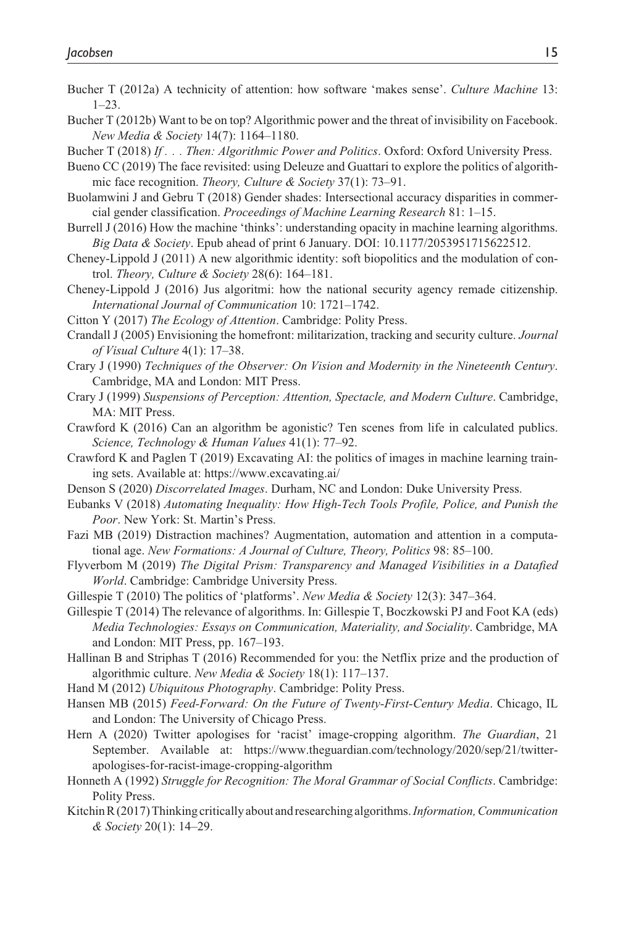- Bucher T (2012a) A technicity of attention: how software 'makes sense'. *Culture Machine* 13:  $1 - 23$ .
- Bucher T (2012b) Want to be on top? Algorithmic power and the threat of invisibility on Facebook. *New Media & Society* 14(7): 1164–1180.

Bucher T (2018) *If . . . Then: Algorithmic Power and Politics*. Oxford: Oxford University Press.

- Bueno CC (2019) The face revisited: using Deleuze and Guattari to explore the politics of algorithmic face recognition. *Theory, Culture & Society* 37(1): 73–91.
- Buolamwini J and Gebru T (2018) Gender shades: Intersectional accuracy disparities in commercial gender classification. *Proceedings of Machine Learning Research* 81: 1–15.
- Burrell J (2016) How the machine 'thinks': understanding opacity in machine learning algorithms. *Big Data & Society*. Epub ahead of print 6 January. DOI: 10.1177/2053951715622512.
- Cheney-Lippold J (2011) A new algorithmic identity: soft biopolitics and the modulation of control. *Theory, Culture & Society* 28(6): 164–181.
- Cheney-Lippold J (2016) Jus algoritmi: how the national security agency remade citizenship. *International Journal of Communication* 10: 1721–1742.
- Citton Y (2017) *The Ecology of Attention*. Cambridge: Polity Press.
- Crandall J (2005) Envisioning the homefront: militarization, tracking and security culture. *Journal of Visual Culture* 4(1): 17–38.
- Crary J (1990) *Techniques of the Observer: On Vision and Modernity in the Nineteenth Century*. Cambridge, MA and London: MIT Press.
- Crary J (1999) *Suspensions of Perception: Attention, Spectacle, and Modern Culture*. Cambridge, MA: MIT Press.
- Crawford K (2016) Can an algorithm be agonistic? Ten scenes from life in calculated publics. *Science, Technology & Human Values* 41(1): 77–92.
- Crawford K and Paglen T (2019) Excavating AI: the politics of images in machine learning training sets. Available at:<https://www.excavating.ai/>
- Denson S (2020) *Discorrelated Images*. Durham, NC and London: Duke University Press.
- Eubanks V (2018) *Automating Inequality: How High-Tech Tools Profile, Police, and Punish the Poor*. New York: St. Martin's Press.
- Fazi MB (2019) Distraction machines? Augmentation, automation and attention in a computational age. *New Formations: A Journal of Culture, Theory, Politics* 98: 85–100.
- Flyverbom M (2019) *The Digital Prism: Transparency and Managed Visibilities in a Datafied World*. Cambridge: Cambridge University Press.
- Gillespie T (2010) The politics of 'platforms'. *New Media & Society* 12(3): 347–364.
- Gillespie T (2014) The relevance of algorithms. In: Gillespie T, Boczkowski PJ and Foot KA (eds) *Media Technologies: Essays on Communication, Materiality, and Sociality*. Cambridge, MA and London: MIT Press, pp. 167–193.
- Hallinan B and Striphas T (2016) Recommended for you: the Netflix prize and the production of algorithmic culture. *New Media & Society* 18(1): 117–137.
- Hand M (2012) *Ubiquitous Photography*. Cambridge: Polity Press.
- Hansen MB (2015) *Feed-Forward: On the Future of Twenty-First-Century Media*. Chicago, IL and London: The University of Chicago Press.
- Hern A (2020) Twitter apologises for 'racist' image-cropping algorithm. *The Guardian*, 21 September. Available at: [https://www.theguardian.com/technology/2020/sep/21/twitter](https://www.theguardian.com/technology/2020/sep/21/twitter-apologises-for-racist-image-cropping-algorithm)[apologises-for-racist-image-cropping-algorithm](https://www.theguardian.com/technology/2020/sep/21/twitter-apologises-for-racist-image-cropping-algorithm)
- Honneth A (1992) *Struggle for Recognition: The Moral Grammar of Social Conflicts*. Cambridge: Polity Press.
- Kitchin R (2017) Thinking critically about and researching algorithms. *Information, Communication & Society* 20(1): 14–29.